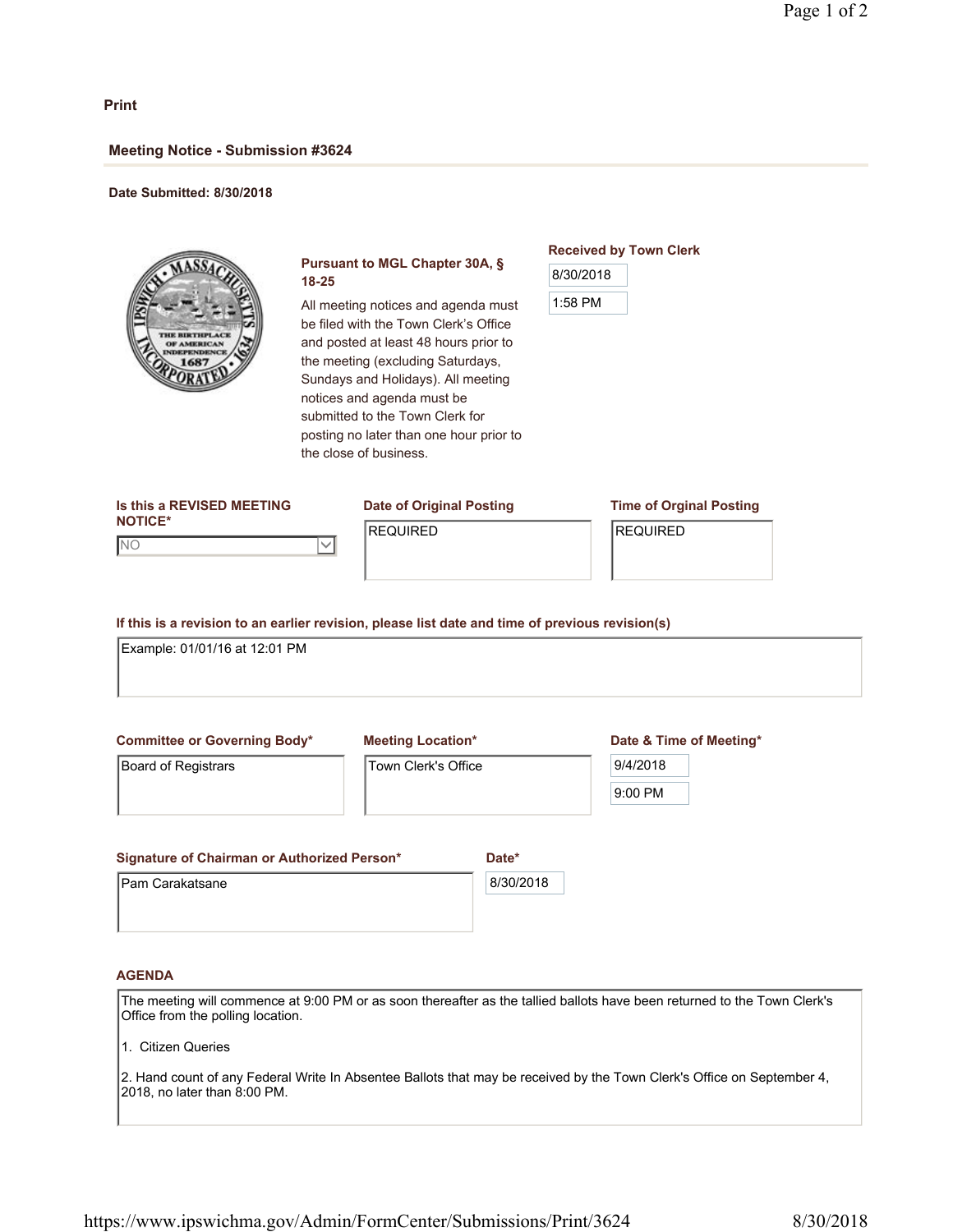## **Print**

## **Meeting Notice - Submission #3624**

#### **Date Submitted: 8/30/2018**



## **Pursuant to MGL Chapter 30A, § 18-25**

All meeting notices and agenda must be filed with the Town Clerk's Office and posted at least 48 hours prior to the meeting (excluding Saturdays, Sundays and Holidays). All meeting notices and agenda must be submitted to the Town Clerk for posting no later than one hour prior to the close of business.

# **Received by Town Clerk** 8/30/2018

| Is this a REVISED MEETING | Date of Original Posting | <b>Time of Orginal Posting</b> |
|---------------------------|--------------------------|--------------------------------|
| <b>NOTICE*</b>            | <b>IREQUIRED</b>         | <b>IREQUIRED</b>               |
| Inc                       |                          |                                |
|                           |                          |                                |
|                           |                          |                                |

**If this is a revision to an earlier revision, please list date and time of previous revision(s)**

Example: 01/01/16 at 12:01 PM

**Committee or Governing Body\***

Board of Registrars

**Meeting Location\***

Town Clerk's Office

### **Date & Time of Meeting\***

| /4/2018 |
|---------|
| וו<br>۴ |

**Signature of Chairman or Authorized Person\*** Pam Carakatsane **Date\*** 8/30/2018

### **AGENDA**

The meeting will commence at 9:00 PM or as soon thereafter as the tallied ballots have been returned to the Town Clerk's Office from the polling location.

1. Citizen Queries

2. Hand count of any Federal Write In Absentee Ballots that may be received by the Town Clerk's Office on September 4, 2018, no later than 8:00 PM.